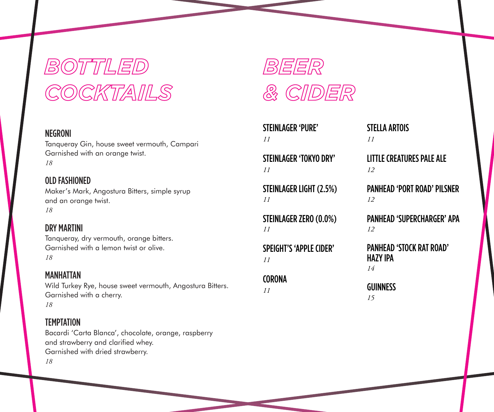## *BOTTLED COCKTAILS*

#### NEGRONI

Tanqueray Gin, house sweet vermouth, Campari Garnished with an orange twist. *18*

### OLD FASHIONED

Maker's Mark, Angostura Bitters, simple syrup and an orange twist. *18*

#### DRY MARTINI

Tanqueray, dry vermouth, orange bitters. Garnished with a lemon twist or olive. *18*

#### MANHATTAN

Wild Turkey Rye, house sweet vermouth, Angostura Bitters. Garnished with a cherry. *18*

#### **TEMPTATION**

Bacardi 'Carta Blanca', chocolate, orange, raspberry and strawberry and clarified whey. Garnished with dried strawberry. *18*



STEINLAGER 'PURE' *11*

STEINLAGER 'TOKYO DRY' *11*

STEINLAGER LIGHT (2.5%) *11*

STEINLAGER ZERO (0.0%) *11*

SPEIGHT'S 'APPLE CIDER' *11*

## **CORONA**

*11*

#### STELLA ARTOIS *11*

### LITTLE CREATURES PALE ALE *12*

PANHEAD 'PORT ROAD' PILSNER *12*

PANHEAD 'SUPERCHARGER' APA *12*

PANHEAD 'STOCK RAT ROAD' HAZY IPA *14*

**GUINNESS** *15*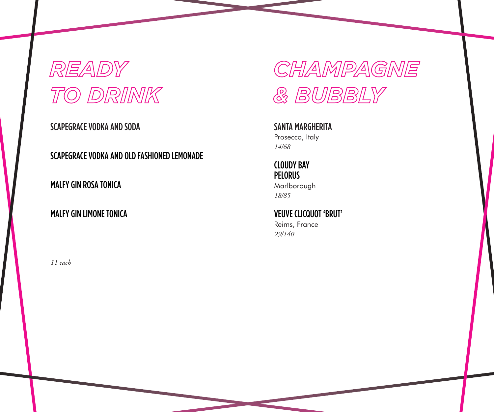## *READY TO DRINK*

SCAPEGRACE VODKA AND SODA

SCAPEGRACE VODKA AND OLD FASHIONED LEMONADE

MALFY GIN ROSA TONICA

### MALFY GIN LIMONE TONICA

*11 each*

*CHAMPAGNE & BUBBLY*

SANTA MARGHERITA Prosecco, Italy *14/68*

CLOUDY BAY PELORUS Marlborough

*18/85*

VEUVE CLICQUOT 'BRUT' Reims, France *29/140*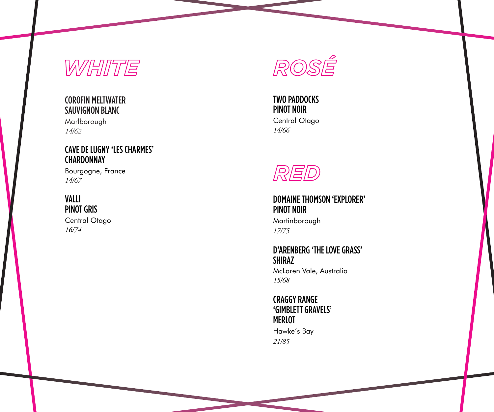## *WHITE*

## COROFIN MELTWATER SAUVIGNON BLANC

Marlborough *14/62*

### CAVE DE LUGNY 'LES CHARMES' **CHARDONNAY**

Bourgogne, France *14/67*

#### VALLI PINOT GRIS

Central Otago *16/74*



## TWO PADDOCKS PINOT NOIR

Central Otago *14/66*



DOMAINE THOMSON 'EXPLORER' PINOT NOIR Martinborough *17/75*

#### D'ARENBERG 'THE LOVE GRASS' SHIRAZ

McLaren Vale, Australia *15/68*

#### CRAGGY RANGE 'GIMBLETT GRAVELS' MERLOT

Hawke's Bay *21/85*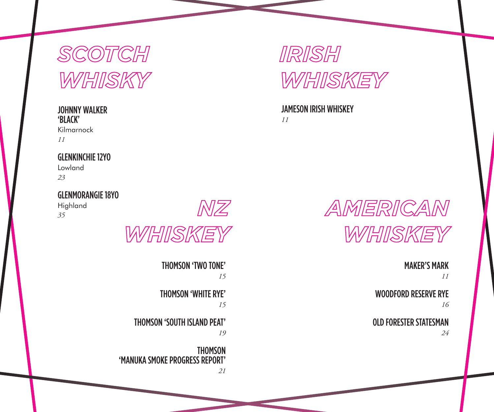## *SCOTCH WHISKY*

#### JOHNNY WALKER 'BLACK'

Kilmarnock *11*

## GLENKINCHIE 12YO

Lowland *23*

## GLENMORANGIE 18YO

Highland *35*



THOMSON 'TWO TONE' *15*  THOMSON 'WHITE RYE' *15* THOMSON 'SOUTH ISLAND PEAT' *19*

THOMSON 'MANUKA SMOKE PROGRESS REPORT'

*21*

*NZ*



#### JAMESON IRISH WHISKEY *11*



MAKER'S MARK

*11*

WOODFORD RESERVE RYE *16*

OLD FORESTER STATESMAN

*24*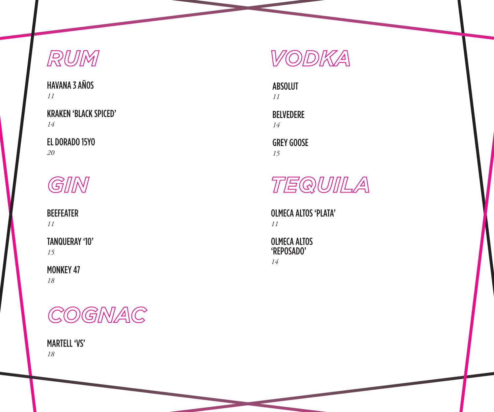## *RUM*

HAVANA 3 AÑOS *11*

KRAKEN 'BLACK SPICED' *14*

EL DORADO 15YO *20*



BEEFEATER *11*

TANQUERAY '10' *15*

#### MONKEY 47 *18*



MARTELL 'VS' *18*



ABSOLUT *11*

BELVEDERE *14*

GREY GOOSE *15*



OLMECA ALTOS 'PLATA' *11*

### OLMECA ALTOS 'REPOSADO'

*14*